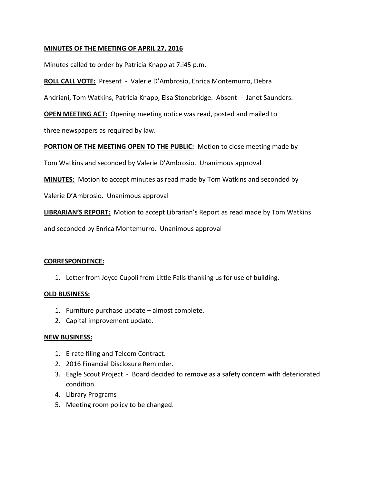# **MINUTES OF THE MEETING OF APRIL 27, 2016**

Minutes called to order by Patricia Knapp at 7:i45 p.m.

**ROLL CALL VOTE:** Present - Valerie D'Ambrosio, Enrica Montemurro, Debra

Andriani, Tom Watkins, Patricia Knapp, Elsa Stonebridge. Absent - Janet Saunders.

**OPEN MEETING ACT:** Opening meeting notice was read, posted and mailed to

three newspapers as required by law.

**PORTION OF THE MEETING OPEN TO THE PUBLIC:** Motion to close meeting made by

Tom Watkins and seconded by Valerie D'Ambrosio. Unanimous approval

**MINUTES:** Motion to accept minutes as read made by Tom Watkins and seconded by

Valerie D'Ambrosio. Unanimous approval

**LIBRARIAN'S REPORT:** Motion to accept Librarian's Report as read made by Tom Watkins

and seconded by Enrica Montemurro. Unanimous approval

## **CORRESPONDENCE:**

1. Letter from Joyce Cupoli from Little Falls thanking us for use of building.

## **OLD BUSINESS:**

- 1. Furniture purchase update almost complete.
- 2. Capital improvement update.

## **NEW BUSINESS:**

- 1. E-rate filing and Telcom Contract.
- 2. 2016 Financial Disclosure Reminder.
- 3. Eagle Scout Project Board decided to remove as a safety concern with deteriorated condition.
- 4. Library Programs
- 5. Meeting room policy to be changed.